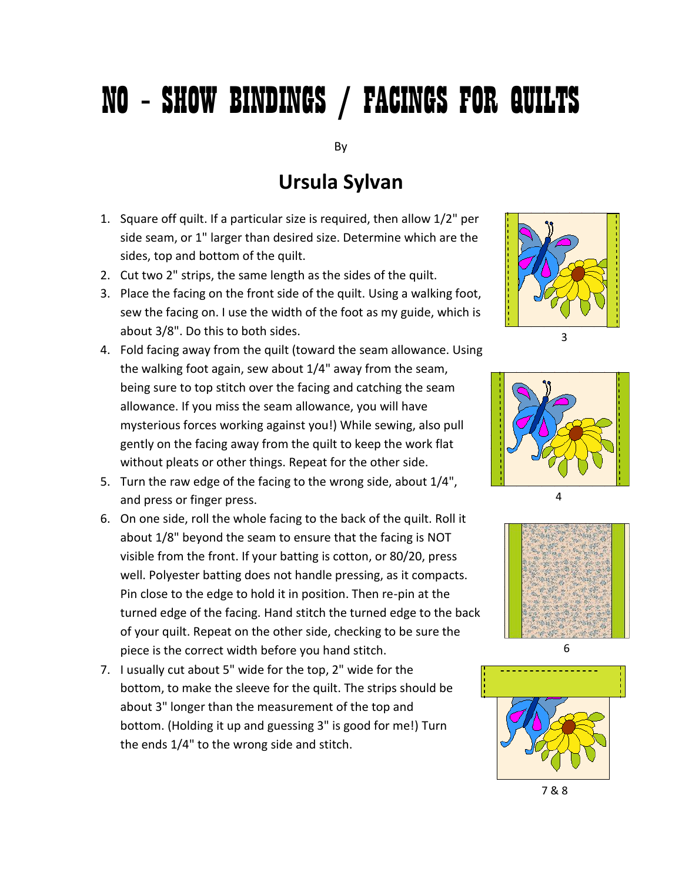## NO – SHOW BINDINGS / FACINGS FOR QUILTS

By

## **Ursula Sylvan**

- 1. Square off quilt. If a particular size is required, then allow 1/2" per side seam, or 1" larger than desired size. Determine which are the sides, top and bottom of the quilt.
- 2. Cut two 2" strips, the same length as the sides of the quilt.
- 3. Place the facing on the front side of the quilt. Using a walking foot, sew the facing on. I use the width of the foot as my guide, which is about 3/8". Do this to both sides.
- 4. Fold facing away from the quilt (toward the seam allowance. Using the walking foot again, sew about 1/4" away from the seam, being sure to top stitch over the facing and catching the seam allowance. If you miss the seam allowance, you will have mysterious forces working against you!) While sewing, also pull gently on the facing away from the quilt to keep the work flat without pleats or other things. Repeat for the other side.
- 5. Turn the raw edge of the facing to the wrong side, about 1/4", and press or finger press.
- 6. On one side, roll the whole facing to the back of the quilt. Roll it about 1/8" beyond the seam to ensure that the facing is NOT visible from the front. If your batting is cotton, or 80/20, press well. Polyester batting does not handle pressing, as it compacts. Pin close to the edge to hold it in position. Then re-pin at the turned edge of the facing. Hand stitch the turned edge to the back of your quilt. Repeat on the other side, checking to be sure the piece is the correct width before you hand stitch.
- 7. I usually cut about 5" wide for the top, 2" wide for the bottom, to make the sleeve for the quilt. The strips should be about 3" longer than the measurement of the top and bottom. (Holding it up and guessing 3" is good for me!) Turn the ends 1/4" to the wrong side and stitch.

3